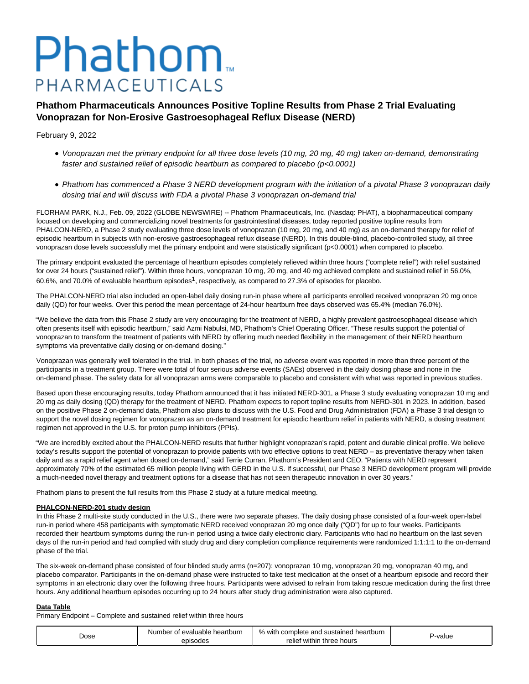# Phathom. PHARMACEUTICALS

# **Phathom Pharmaceuticals Announces Positive Topline Results from Phase 2 Trial Evaluating Vonoprazan for Non-Erosive Gastroesophageal Reflux Disease (NERD)**

# February 9, 2022

- Vonoprazan met the primary endpoint for all three dose levels (10 mg, 20 mg, 40 mg) taken on-demand, demonstrating faster and sustained relief of episodic heartburn as compared to placebo ( $p$ <0.0001)
- Phathom has commenced a Phase 3 NERD development program with the initiation of a pivotal Phase 3 vonoprazan daily dosing trial and will discuss with FDA a pivotal Phase 3 vonoprazan on-demand trial

FLORHAM PARK, N.J., Feb. 09, 2022 (GLOBE NEWSWIRE) -- Phathom Pharmaceuticals, Inc. (Nasdaq: PHAT), a biopharmaceutical company focused on developing and commercializing novel treatments for gastrointestinal diseases, today reported positive topline results from PHALCON-NERD, a Phase 2 study evaluating three dose levels of vonoprazan (10 mg, 20 mg, and 40 mg) as an on-demand therapy for relief of episodic heartburn in subjects with non-erosive gastroesophageal reflux disease (NERD). In this double-blind, placebo-controlled study, all three vonoprazan dose levels successfully met the primary endpoint and were statistically significant (p<0.0001) when compared to placebo.

The primary endpoint evaluated the percentage of heartburn episodes completely relieved within three hours ("complete relief") with relief sustained for over 24 hours ("sustained relief"). Within three hours, vonoprazan 10 mg, 20 mg, and 40 mg achieved complete and sustained relief in 56.0%, 60.6%, and 70.0% of evaluable heartburn episodes1, respectively, as compared to 27.3% of episodes for placebo.

The PHALCON-NERD trial also included an open-label daily dosing run-in phase where all participants enrolled received vonoprazan 20 mg once daily (QD) for four weeks. Over this period the mean percentage of 24-hour heartburn free days observed was 65.4% (median 76.0%).

"We believe the data from this Phase 2 study are very encouraging for the treatment of NERD, a highly prevalent gastroesophageal disease which often presents itself with episodic heartburn," said Azmi Nabulsi, MD, Phathom's Chief Operating Officer. "These results support the potential of vonoprazan to transform the treatment of patients with NERD by offering much needed flexibility in the management of their NERD heartburn symptoms via preventative daily dosing or on-demand dosing."

Vonoprazan was generally well tolerated in the trial. In both phases of the trial, no adverse event was reported in more than three percent of the participants in a treatment group. There were total of four serious adverse events (SAEs) observed in the daily dosing phase and none in the on-demand phase. The safety data for all vonoprazan arms were comparable to placebo and consistent with what was reported in previous studies.

Based upon these encouraging results, today Phathom announced that it has initiated NERD-301, a Phase 3 study evaluating vonoprazan 10 mg and 20 mg as daily dosing (QD) therapy for the treatment of NERD. Phathom expects to report topline results from NERD-301 in 2023. In addition, based on the positive Phase 2 on-demand data, Phathom also plans to discuss with the U.S. Food and Drug Administration (FDA) a Phase 3 trial design to support the novel dosing regimen for vonoprazan as an on-demand treatment for episodic heartburn relief in patients with NERD, a dosing treatment regimen not approved in the U.S. for proton pump inhibitors (PPIs).

"We are incredibly excited about the PHALCON-NERD results that further highlight vonoprazan's rapid, potent and durable clinical profile. We believe today's results support the potential of vonoprazan to provide patients with two effective options to treat NERD – as preventative therapy when taken daily and as a rapid relief agent when dosed on-demand," said Terrie Curran, Phathom's President and CEO. "Patients with NERD represent approximately 70% of the estimated 65 million people living with GERD in the U.S. If successful, our Phase 3 NERD development program will provide a much-needed novel therapy and treatment options for a disease that has not seen therapeutic innovation in over 30 years."

Phathom plans to present the full results from this Phase 2 study at a future medical meeting.

#### **PHALCON-NERD-201 study design**

In this Phase 2 multi-site study conducted in the U.S., there were two separate phases. The daily dosing phase consisted of a four-week open-label run-in period where 458 participants with symptomatic NERD received vonoprazan 20 mg once daily ("QD") for up to four weeks. Participants recorded their heartburn symptoms during the run-in period using a twice daily electronic diary. Participants who had no heartburn on the last seven days of the run-in period and had complied with study drug and diary completion compliance requirements were randomized 1:1:1:1 to the on-demand phase of the trial.

The six-week on-demand phase consisted of four blinded study arms (n=207): vonoprazan 10 mg, vonoprazan 20 mg, vonoprazan 40 mg, and placebo comparator. Participants in the on-demand phase were instructed to take test medication at the onset of a heartburn episode and record their symptoms in an electronic diary over the following three hours. Participants were advised to refrain from taking rescue medication during the first three hours. Any additional heartburn episodes occurring up to 24 hours after study drug administration were also captured.

#### **Data Table**

Primary Endpoint – Complete and sustained relief within three hours

| Dose | Number of evaluable heartburn | % with<br>n complete and sustained heartburn | '-value |
|------|-------------------------------|----------------------------------------------|---------|
|      | episodes                      | relief within<br>ı three hours               |         |